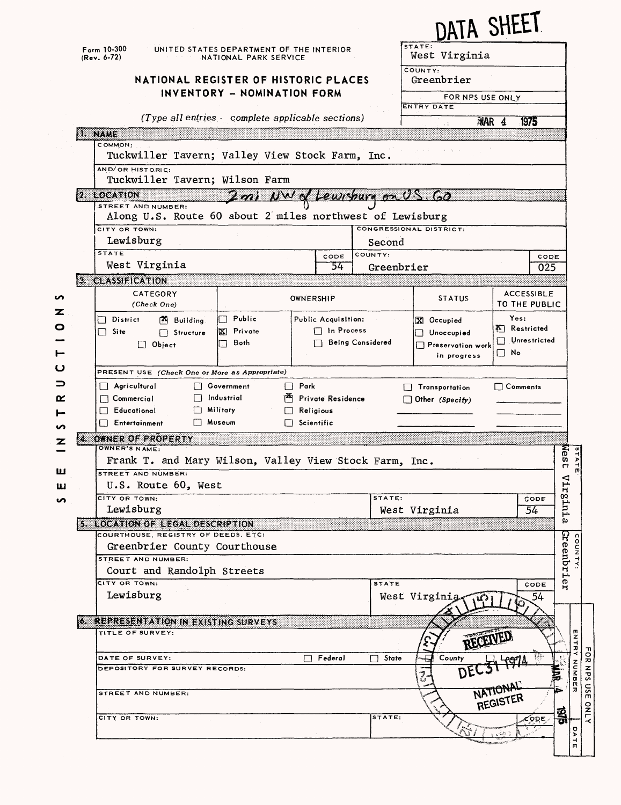|                                                                  |                                                                                                                                                         |                                                                                                      |                                                                   |                                |                         |                                         | <u>IA</u> TA SHEEI                  |                                       |  |  |
|------------------------------------------------------------------|---------------------------------------------------------------------------------------------------------------------------------------------------------|------------------------------------------------------------------------------------------------------|-------------------------------------------------------------------|--------------------------------|-------------------------|-----------------------------------------|-------------------------------------|---------------------------------------|--|--|
|                                                                  |                                                                                                                                                         | Form 10-300<br>$(Rev. 6-72)$                                                                         | UNITED STATES DEPARTMENT OF THE INTERIOR<br>NATIONAL PARK SERVICE |                                |                         | STATE:<br>West Virginia                 |                                     |                                       |  |  |
|                                                                  |                                                                                                                                                         | NATIONAL REGISTER OF HISTORIC PLACES                                                                 |                                                                   |                                | COUNTY:<br>Greenbrier   |                                         |                                     |                                       |  |  |
|                                                                  |                                                                                                                                                         |                                                                                                      | INVENTORY - NOMINATION FORM                                       |                                | FOR NPS USE ONLY        |                                         |                                     |                                       |  |  |
|                                                                  |                                                                                                                                                         | (Type all entries - complete applicable sections)                                                    |                                                                   |                                |                         | <b>ENTRY DATE</b>                       |                                     |                                       |  |  |
|                                                                  |                                                                                                                                                         | 1. NAME                                                                                              |                                                                   |                                | $\sim$ 1                | 1975<br>MAR 4                           |                                     |                                       |  |  |
|                                                                  |                                                                                                                                                         | COMMON:<br>Tuckwiller Tavern; Valley View Stock Farm, Inc.                                           |                                                                   |                                |                         |                                         |                                     |                                       |  |  |
|                                                                  |                                                                                                                                                         | AND/OR HISTORIC:                                                                                     |                                                                   |                                |                         |                                         |                                     |                                       |  |  |
|                                                                  |                                                                                                                                                         | Tuckwiller Tavern; Wilson Farm                                                                       |                                                                   |                                |                         |                                         |                                     |                                       |  |  |
|                                                                  |                                                                                                                                                         | $2.$ LOCATION<br><u>Lewishura on US.</u><br>2minWww<br>$\langle \alpha\rangle$<br>STREET AND NUMBER: |                                                                   |                                |                         |                                         |                                     |                                       |  |  |
|                                                                  |                                                                                                                                                         | Along U.S. Route 60 about 2 miles northwest of Lewisburg                                             |                                                                   |                                |                         |                                         |                                     |                                       |  |  |
|                                                                  |                                                                                                                                                         | CITY OR TOWN:                                                                                        |                                                                   |                                |                         | CONGRESSIONAL DISTRICT:                 |                                     |                                       |  |  |
|                                                                  |                                                                                                                                                         | Lewisburg<br><b>STATE</b>                                                                            |                                                                   |                                | Second<br>COUNTY:       |                                         |                                     |                                       |  |  |
|                                                                  |                                                                                                                                                         | West Virginia                                                                                        |                                                                   | CODE<br>54                     | Greenbrier              |                                         | CODE<br>025                         |                                       |  |  |
|                                                                  |                                                                                                                                                         | 3. CLASSIFICATION                                                                                    |                                                                   |                                |                         |                                         |                                     |                                       |  |  |
| n                                                                |                                                                                                                                                         | CATEGORY<br>(Check One)                                                                              |                                                                   | OWNERSHIP                      |                         | <b>STATUS</b>                           | <b>ACCESSIBLE</b><br>TO THE PUBLIC  |                                       |  |  |
| z                                                                |                                                                                                                                                         | $\Box$ District<br><b>A</b> Building                                                                 | Public<br>П                                                       | Public Acquisition:            |                         | X Occupied                              | Yes:                                |                                       |  |  |
| O                                                                |                                                                                                                                                         | $\Box$ Site<br>Structure                                                                             | <b>X</b> Private                                                  | $\Box$ In Process              |                         | Unoccupied                              | <b>K</b> Restricted<br>Unrestricted |                                       |  |  |
|                                                                  |                                                                                                                                                         | $\Box$ Object                                                                                        | Both                                                              |                                | <b>Being Considered</b> | $\Box$ Preservation work<br>in progress | $\square$ No                        |                                       |  |  |
| ပ                                                                |                                                                                                                                                         |                                                                                                      |                                                                   |                                |                         |                                         |                                     |                                       |  |  |
| ⊃                                                                | PRESENT USE (Check One or More as Appropriate)<br>$\Box$ Agricultural<br>Government<br>$\Box$ Park<br>$\Box$ Comments<br>Transportation<br>$\mathbf{1}$ |                                                                                                      |                                                                   |                                |                         |                                         |                                     |                                       |  |  |
| Industrial<br>$\Box$ Commercial<br><b>Private Residence</b><br>œ |                                                                                                                                                         |                                                                                                      |                                                                   |                                |                         | $\Box$ Other (Specify)                  |                                     |                                       |  |  |
|                                                                  |                                                                                                                                                         | $\Box$ Educational<br>$\Box$ Entertainment                                                           | Military<br>ŁП<br>Museum                                          | Religious<br>$\Box$ Scientific |                         |                                         |                                     |                                       |  |  |
| n<br>z                                                           |                                                                                                                                                         | 4 OWNER OF PROPERTY                                                                                  |                                                                   |                                |                         |                                         |                                     |                                       |  |  |
|                                                                  |                                                                                                                                                         | OWNER'S NAME:<br>e<br>≸<br><b>m</b><br>$\blacktriangleright$                                         |                                                                   |                                |                         |                                         |                                     |                                       |  |  |
| ш                                                                |                                                                                                                                                         | Frank T. and Mary Wilson, Valley View Stock Farm, Inc.<br>STREET AND NUMBER:                         |                                                                   |                                |                         |                                         |                                     |                                       |  |  |
| ш                                                                | U.S. Route 60, West                                                                                                                                     |                                                                                                      |                                                                   |                                |                         |                                         |                                     | Vir                                   |  |  |
| n                                                                |                                                                                                                                                         | CITY OR TOWN:<br>Lewisburg                                                                           |                                                                   |                                | STATE:                  |                                         | CODE                                | rur <sub>8</sub> .                    |  |  |
|                                                                  |                                                                                                                                                         | West Virginia<br>54<br><b>STROGATION OF LEGAL DESCRIPTION</b>                                        |                                                                   |                                |                         |                                         |                                     |                                       |  |  |
|                                                                  |                                                                                                                                                         | COURTHOUSE, REGISTRY OF DEEDS, ETC:                                                                  |                                                                   |                                |                         |                                         |                                     |                                       |  |  |
|                                                                  |                                                                                                                                                         | Greenbrier County Courthouse<br>STREET AND NUMBER:                                                   |                                                                   |                                |                         |                                         |                                     | <b>COUNTY</b>                         |  |  |
|                                                                  |                                                                                                                                                         | Greenbrie<br>Court and Randolph Streets                                                              |                                                                   |                                |                         |                                         |                                     |                                       |  |  |
|                                                                  |                                                                                                                                                         | CITY OR TOWN:<br>Lewisburg                                                                           |                                                                   |                                | <b>STATE</b>            |                                         | CODE                                |                                       |  |  |
|                                                                  |                                                                                                                                                         |                                                                                                      |                                                                   |                                |                         | West Virginig                           | 54                                  |                                       |  |  |
|                                                                  |                                                                                                                                                         | <b>6. REPRESENTATION IN EXISTING SURVEYS</b>                                                         |                                                                   |                                |                         |                                         |                                     |                                       |  |  |
|                                                                  |                                                                                                                                                         | TITLE OF SURVEY:                                                                                     |                                                                   |                                |                         | RECEIVED                                |                                     | ENTR                                  |  |  |
|                                                                  |                                                                                                                                                         | DATE OF SURVEY:                                                                                      |                                                                   | Federal                        | State<br>П              | County                                  |                                     |                                       |  |  |
|                                                                  |                                                                                                                                                         | DEPOSITORY FOR SURVEY RECORDS:                                                                       |                                                                   |                                |                         |                                         |                                     | Z<br>S                                |  |  |
|                                                                  |                                                                                                                                                         | STREET AND NUMBER:                                                                                   |                                                                   |                                |                         |                                         | NATIONAL<br>REGISTER                | FOR NPS USE<br>a<br>G<br>IJ           |  |  |
|                                                                  |                                                                                                                                                         |                                                                                                      |                                                                   |                                |                         |                                         |                                     | <b>ONLY</b>                           |  |  |
|                                                                  |                                                                                                                                                         | CITY OR TOWN:                                                                                        |                                                                   |                                | STATE:                  |                                         | යු<br>ਹ<br>CODE                     | U                                     |  |  |
|                                                                  |                                                                                                                                                         |                                                                                                      |                                                                   |                                |                         |                                         |                                     | $\blacktriangleright$<br>$\mathbf{F}$ |  |  |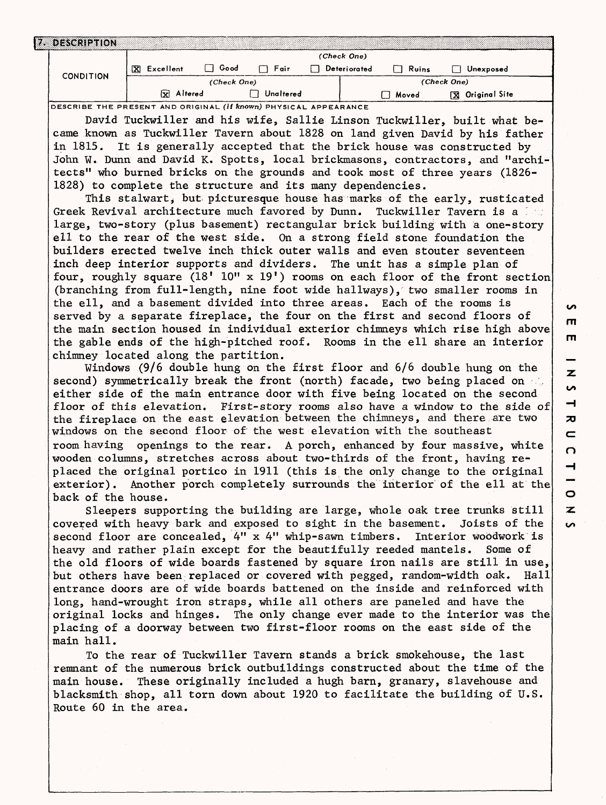| S                  |
|--------------------|
| т                  |
| m                  |
|                    |
| z                  |
| u                  |
| ᅴ                  |
| $\boldsymbol{\pi}$ |
| $\mathbf{C}$       |
| $\Omega$           |
| $\rightarrow$<br>- |
| $\circ$            |
| Z                  |
| $\epsilon$         |

|  | <b>DESCRIPTION</b> |                |      |           |  |              |       |                        |  |
|--|--------------------|----------------|------|-----------|--|--------------|-------|------------------------|--|
|  | <b>CONDITION</b>   | (Check One)    |      |           |  |              |       |                        |  |
|  |                    | x<br>Excellent | Good | Fair      |  | Deteriorated | Ruins | Unexposed              |  |
|  |                    | (Check One)    |      |           |  | (Check One)  |       |                        |  |
|  |                    | Altered<br>×   |      | Unaltered |  |              | Moved | <b>X</b> Original Site |  |

**DESCRIBE THE PRESENT AND ORIGINAL (if known) PHYSICAL APPEARANCE**

David Tuckwiller and his wife, Sallie Linson Tuckwiller, built what became known as Tuckwiller Tavern about 1828 on land given David by his father in 1815. It is generally accepted that the brick house was constructed by John W. Dunn and David K. Spotts, local brickmasons, contractors, and "architects" who burned bricks on the grounds and took most of three years (1826- 1828) to complete the structure and its many dependencies.

This stalwart, but picturesque house has marks of the early, rusticated Greek Revival architecture much favored by Dunn. Tuckwiller Tavern is a loss large, two-story (plus basement) rectangular brick building with a one-story ell to the rear of the west side. On a strong field stone foundation the builders erected twelve inch thick outer walls and even stouter seventeen inch deep interior supports and dividers. The unit has a simple plan of four, roughly square  $(18'$  10" x 19') rooms on each floor of the front section (branching from full-length, nine foot wide hallways), two smaller rooms in the ell, and a basement divided into three areas. Each of the rooms is served by a separate fireplace, the four on the first and second floors of the main section housed in individual exterior chimneys which rise high above the gable ends of the high-pitched roof. Rooms in the ell share an interior chimney located along the partition.

Windows (9/6 double hung on the first floor and 6/6 double hung on the second) symmetrically break the front (north) facade, two being placed on  $\leq$ . either side of the main entrance door with five being located on the second floor of this elevation. First-story rooms also have a window to the side of the fireplace on the east elevation between the chimneys, and there are two windows on the second floor of the west elevation with the southeast room having openings to the rear. A porch, enhanced by four massive, white wooden columns, stretches across about two-thirds of the front, having replaced the original portico in 1911 (this is the only change to the original exterior). Another porch completely surrounds the interior of the ell at the back of the house.

Sleepers supporting the building are large, whole oak tree trunks still covered with heavy bark and exposed to sight in the basement. Joists of the second floor are concealed, 4" x 4" whip-sawn timbers. Interior woodwork is heavy and rather plain except for the beautifully reeded mantels. Some of the old floors of wide boards fastened by square iron nails are still in use, but others have been replaced or covered with pegged, random-width oak. Hall entrance doors are of wide boards battened on the inside and reinforced with long, hand-wrought iron straps, while all others are paneled and have the original locks and hinges. The only change ever made to the interior was the placing of a doorway between two first-floor rooms on the east side of the main hall.

To the rear of Tuckwiller Tavern stands a brick smokehouse, the last remnant of the numerous brick outbuildings constructed about the time of the main house. These originally included a hugh barn, granary, slavehouse and blacksmith shop, all torn down about 1920 to facilitate the building of U.S. Route 60 in the area.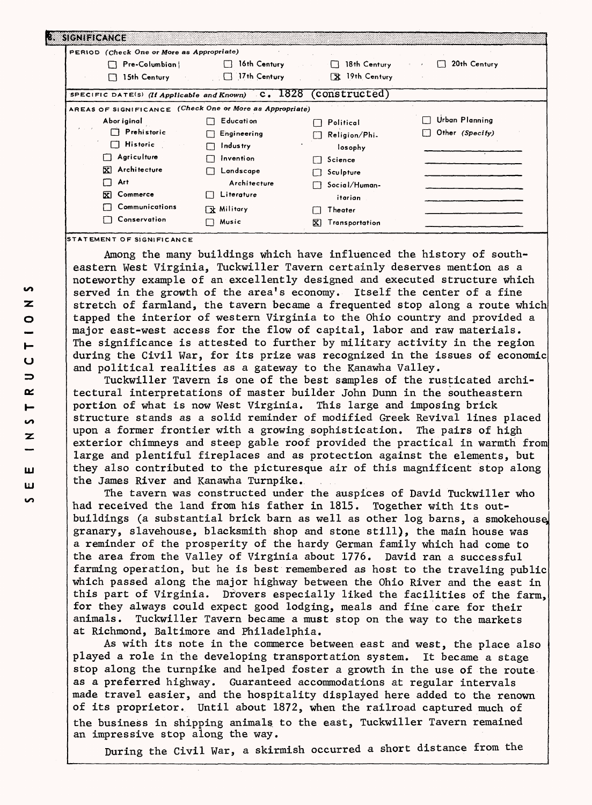| <b>EXIGNERANCE</b>                                                                                                                              |                                                                                                                             |                                                                                                                                      |                                   |
|-------------------------------------------------------------------------------------------------------------------------------------------------|-----------------------------------------------------------------------------------------------------------------------------|--------------------------------------------------------------------------------------------------------------------------------------|-----------------------------------|
| PERIOD (Check One or More as Appropriate)<br>Pre-Columbian  <br>15th Century                                                                    | 16th Century<br>$\Box$ 17th Century                                                                                         | 18th Century<br>$+1$<br>All Card<br>X 19th Century                                                                                   | 20th Century                      |
| SPECIFIC DATE(s) (If Applicable and Known) C. 1828 (CONSTUCTed)<br>AREAS OF SIGNIFICANCE (Check One or More as Appropriate)                     |                                                                                                                             |                                                                                                                                      |                                   |
| Abor iginal<br>$\Box$ Prehistoric<br>$\Box$ Historic<br>Agriculture<br>X Architecture<br>Art<br>Commerce<br>冈<br>Communications<br>Conservation | Education<br>Engineering<br>Industry<br>Invention<br>Landscape<br>Architecture<br>Literature<br><b>「文 Military</b><br>Music | Political<br>Religion/Phi.<br>losophy<br>Science<br>I I<br>Sculpture<br>Social/Human-<br>itarian<br>Theater<br>Transportation<br>tΣl | Urban Planning<br>Other (Specify) |

**STATEMENT OF SIGNIFICANCE**

Among the many buildings which have influenced the history of southeastern West Virginia, Tuckwiller Tavern certainly deserves mention as a noteworthy example of an excellently designed and executed structure which served in the growth of the area's economy. Itself the center of a fine stretch of farmland, the tavern became a frequented stop along a route which tapped the interior of western Virginia to the Ohio country and provided a major east-west access for the flow of capital, labor and raw materials. The significance is attested to further by military activity in the region during the Civil War, for its prize was recognized in the issues of economic and political realities as a gateway to the Kanawha Valley.

Tuckwiller Tavern is one of the best samples of the rusticated architectural interpretations of master builder John Dunn in the southeastern portion of what is now West Virginia. This large and imposing brick structure stands as a solid reminder of modified Greek Revival lines placed upon a former frontier with a growing sophistication. The pairs of high exterior chimneys and steep gable roof provided the practical in warmth from large and plentiful fireplaces and as protection against the elements, but they also contributed to the picturesque air of this magnificent stop along the James River and Kanawha Turnpike.

The tavern was constructed under the auspices of David Tuckwiller who had received the land from his father in 1815. Together with its outbuildings (a substantial brick barn as well as other log barns, a smokehouse granary, slavehouse, blacksmith shop and stone still), the main house was a reminder of the prosperity of the hardy German family which had come to the area from the Valley of Virginia about 1776. David ran a successful farming operation, but he is best remembered as host to the traveling public which passed along the major highway between the Ohio River and the east in this part of Virginia. Drovers especially liked the facilities of the farm, for they always could expect good lodging, meals and fine care for their animals. Tuckwiller Tavern became a must stop on the way to the markets at Richmond, Baltimore and Philadelphia.

As with its note in the commerce between east and west, the place also played a role in the developing transportation system. It became a stage stop along the turnpike and helped foster a growth in the use of the route as a preferred highway. Guaranteed accommodations at regular intervals made travel easier, and the hospitality displayed here added to the renown of its proprietor. Until about 1872, when the railroad captured much of the business in shipping animals to the east, Tuckwiller Tavern remained an impressive stop along the way.

During the Civil War, a skirmish occurred a short distance from the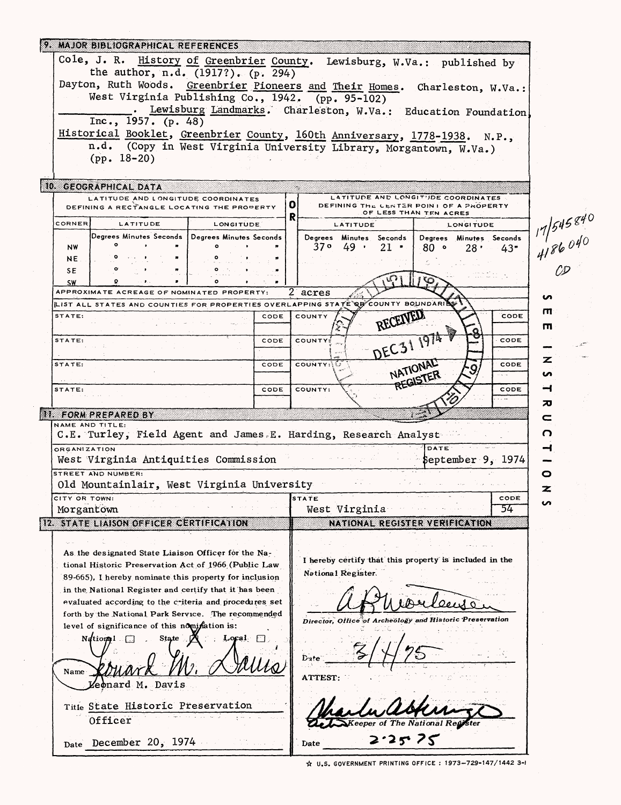|                                                                                                     | 9. MAJOR BIBLIOGRAPHICAL REFERENCES                    |                                            |                                                                                    |           |  |  |  |
|-----------------------------------------------------------------------------------------------------|--------------------------------------------------------|--------------------------------------------|------------------------------------------------------------------------------------|-----------|--|--|--|
| Cole, J. R. History of Greenbrier County. Lewisburg, W.Va.: published by                            |                                                        |                                            |                                                                                    |           |  |  |  |
| the author, n.d. (1917?). (p. 294)                                                                  |                                                        |                                            |                                                                                    |           |  |  |  |
| Dayton, Ruth Woods. Greenbrier Pioneers and Their Homes. Charleston, W.Va.:                         |                                                        |                                            |                                                                                    |           |  |  |  |
| West Virginia Publishing Co., 1942. (pp. 95-102)                                                    |                                                        |                                            |                                                                                    |           |  |  |  |
| Lewisburg Landmarks. Charleston, W.Va.: Education Foundation                                        |                                                        |                                            |                                                                                    |           |  |  |  |
| Inc., 1957. $(p. 48)$<br>Historical Booklet, Greenbrier County, 160th Anniversary, 1778-1938. N.P., |                                                        |                                            |                                                                                    |           |  |  |  |
|                                                                                                     |                                                        |                                            | n.d. (Copy in West Virginia University Library, Morgantown, W.Va.)                 |           |  |  |  |
|                                                                                                     | $(pp. 18-20)$                                          |                                            |                                                                                    |           |  |  |  |
|                                                                                                     |                                                        |                                            |                                                                                    |           |  |  |  |
|                                                                                                     | 10 GEOGRAPHICAL DATA                                   |                                            |                                                                                    |           |  |  |  |
|                                                                                                     | LATITUDE AND LONGITUDE COORDINATES                     |                                            | LATITUDE AND LONGITIDE COORDINATES<br>o<br>DEFINING THE CENTER POINT OF A PROPERTY |           |  |  |  |
|                                                                                                     | DEFINING A RECTANGLE LOCATING THE PROPERTY             |                                            | OF LESS THAN TEN ACRES<br>R                                                        |           |  |  |  |
| CORNER                                                                                              | LATITUDE                                               | LONGITUDE                                  | <b>LONGITUDE</b><br><b>LATITUDE</b>                                                |           |  |  |  |
|                                                                                                     | Degrees Minutes Seconds   Degrees Minutes Seconds      |                                            | Degrees Minutes Seconds  <br>Degrees Minutes Seconds                               | 117545840 |  |  |  |
| <b>NW</b><br>NE.                                                                                    |                                                        |                                            | 37° 49'<br>$21$ $\cdot$<br>$80$ $\circ$<br>28 <sup>1</sup><br>43"                  |           |  |  |  |
| SE                                                                                                  |                                                        |                                            |                                                                                    |           |  |  |  |
| <b>SW</b>                                                                                           |                                                        |                                            |                                                                                    |           |  |  |  |
|                                                                                                     | APPROXIMATE ACREAGE OF NOMINATED PROPERTY:             |                                            | 2 acres                                                                            | ပ         |  |  |  |
|                                                                                                     |                                                        |                                            | LIST ALL STATES AND COUNTIES FOR PROPERTIES OVERLAPPING STATE QUOONTY BOUNDARILY   | ш         |  |  |  |
| STATE:                                                                                              |                                                        | CODE                                       | RECEIVED<br>CODE<br>COUNTY                                                         | Ш         |  |  |  |
| STATE:                                                                                              |                                                        |                                            | CODE                                                                               |           |  |  |  |
|                                                                                                     |                                                        | CODE                                       | DEC31 1974<br>COUNTY:                                                              |           |  |  |  |
| STATE:                                                                                              |                                                        | CODE                                       | <b>COUNTY: U</b><br>CODE                                                           | z         |  |  |  |
|                                                                                                     |                                                        |                                            | NATIONAL<br>REGISTER                                                               | ın        |  |  |  |
| STATE:                                                                                              |                                                        | CODE                                       | COUNTY:<br>CODE                                                                    | ⊣         |  |  |  |
|                                                                                                     |                                                        |                                            |                                                                                    | 刀         |  |  |  |
|                                                                                                     | II. FORM PREPARED BY                                   |                                            |                                                                                    | c         |  |  |  |
|                                                                                                     | NAME AND TITLE:                                        |                                            | C.E. Turley, Field Agent and James E. Harding, Research Analyst                    | ი         |  |  |  |
| <b>ORGANIZATION</b>                                                                                 |                                                        |                                            | DATE                                                                               | ᅿ         |  |  |  |
|                                                                                                     | West Virginia Antiquities Commission                   |                                            | September 9, 1974                                                                  |           |  |  |  |
|                                                                                                     | STREET AND NUMBER:                                     |                                            |                                                                                    | o         |  |  |  |
|                                                                                                     |                                                        | Old Mountainlair, West Virginia University |                                                                                    |           |  |  |  |
| CITY OR TOWN:                                                                                       |                                                        |                                            | STATE<br>CODE                                                                      | ທ         |  |  |  |
| Morgantown                                                                                          |                                                        |                                            | West Virginia<br>54                                                                |           |  |  |  |
|                                                                                                     | 12 STATE LIAISON OFFICER CERTIFICATION                 |                                            | NATIONAL REGISTER VERIFICATION                                                     |           |  |  |  |
|                                                                                                     |                                                        |                                            |                                                                                    |           |  |  |  |
|                                                                                                     | As the designated State Liaison Officer for the Na-    |                                            |                                                                                    |           |  |  |  |
|                                                                                                     | tional Historic Preservation Act of 1966 (Public Law   |                                            | I hereby certify that this property is included in the                             |           |  |  |  |
|                                                                                                     | 89-665), I hereby nominate this property for inclusion |                                            | National Register.                                                                 |           |  |  |  |
|                                                                                                     | in the National Register and certify that it has been  |                                            |                                                                                    |           |  |  |  |
|                                                                                                     | evaluated according to the criteria and procedures set |                                            |                                                                                    |           |  |  |  |
|                                                                                                     | forth by the National Park Service. The recommended    |                                            | Director, Office of Archeology and Historic Preservation                           |           |  |  |  |
|                                                                                                     | level of significance of this nomination is:           |                                            |                                                                                    |           |  |  |  |
|                                                                                                     | National<br>State                                      | $Local \square$                            |                                                                                    |           |  |  |  |
|                                                                                                     |                                                        |                                            | Date                                                                               |           |  |  |  |
| Name                                                                                                |                                                        |                                            |                                                                                    |           |  |  |  |
| ATTEST:<br>eonard M. Davis                                                                          |                                                        |                                            |                                                                                    |           |  |  |  |
|                                                                                                     |                                                        |                                            |                                                                                    |           |  |  |  |
|                                                                                                     | Title State Historic Preservation                      |                                            |                                                                                    |           |  |  |  |
| Officer                                                                                             |                                                        |                                            |                                                                                    |           |  |  |  |
|                                                                                                     |                                                        |                                            | 2525                                                                               |           |  |  |  |
|                                                                                                     | Date December 20, 1974                                 |                                            | Date                                                                               |           |  |  |  |
|                                                                                                     |                                                        |                                            |                                                                                    |           |  |  |  |

 $\bar{\beta}$ 

☆ U.S. GOVERNMENT PRINTING OFFICE: 1973-729-147/1442 3-1